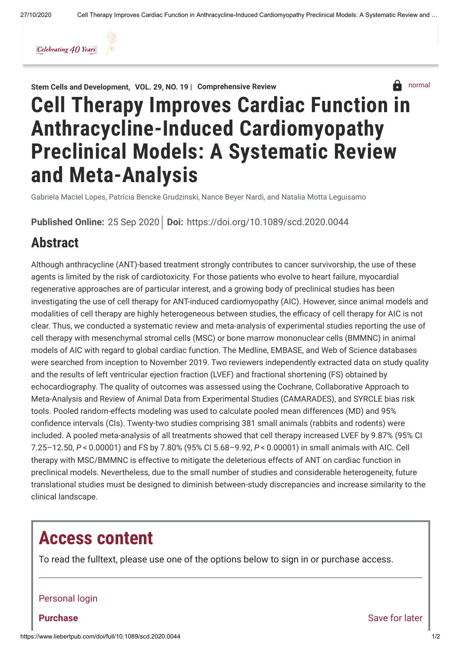

Stem Cells and [Development](https://www.liebertpub.com/journal/scd), VOL. [29, NO.](https://www.liebertpub.com/toc/scd/29/19) 19 | Comprehensive Review



# Cell Therapy Improves Cardiac Function in Anthracycline-Induced Cardiomyopathy Preclinical Models: A Systematic Review and Meta-Analysis

Gabriela Maciel Lopes, Patrícia Bencke Grudzinski, Nance Beyer Nardi, and Natalia Motta Leguisamo

Published Online: 25 Sep 2020 | Doi: <https://doi.org/10.1089/scd.2020.0044>

### Abstract

Although anthracycline (ANT)-based treatment strongly contributes to cancer survivorship, the use of these agents is limited by the risk of cardiotoxicity. For those patients who evolve to heart failure, myocardial regenerative approaches are of particular interest, and a growing body of preclinical studies has been investigating the use of cell therapy for ANT-induced cardiomyopathy (AIC). However, since animal models and modalities of cell therapy are highly heterogeneous between studies, the efficacy of cell therapy for AIC is not clear. Thus, we conducted a systematic review and meta-analysis of experimental studies reporting the use of cell therapy with mesenchymal stromal cells (MSC) or bone marrow mononuclear cells (BMMNC) in animal models of AIC with regard to global cardiac function. The Medline, EMBASE, and Web of Science databases were searched from inception to November 2019. Two reviewers independently extracted data on study quality and the results of left ventricular ejection fraction (LVEF) and fractional shortening (FS) obtained by echocardiography. The quality of outcomes was assessed using the Cochrane, Collaborative Approach to Meta-Analysis and Review of Animal Data from Experimental Studies (CAMARADES), and SYRCLE bias risk tools. Pooled random-effects modeling was used to calculate pooled mean differences (MD) and 95% confidence intervals (CIs). Twenty-two studies comprising 381 small animals (rabbits and rodents) were included. A pooled meta-analysis of all treatments showed that cell therapy increased LVEF by 9.87% (95% CI 7.25–12.50, P < 0.00001) and FS by 7.80% (95% CI 5.68–9.92, P < 0.00001) in small animals with AIC. Cell therapy with MSC/BMMNC is effective to mitigate the deleterious effects of ANT on cardiac function in preclinical models. Nevertheless, due to the small number of studies and considerable heterogeneity, future translational studies must be designed to diminish between-study discrepancies and increase similarity to the clinical landscape.

### Access content

To read the fulltext, please use one of the options below to sign in or purchase access.

#### Personal login

Purchase

[Save for later](https://www.liebertpub.com/action/saveItem?doi=10.1089/scd.2020.0044)